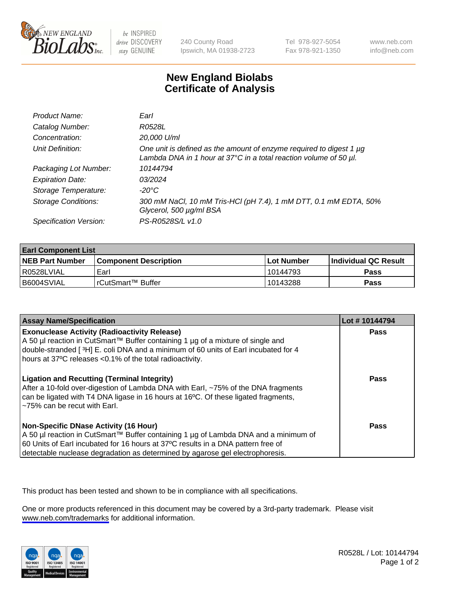

be INSPIRED drive DISCOVERY stay GENUINE

240 County Road Ipswich, MA 01938-2723 Tel 978-927-5054 Fax 978-921-1350

www.neb.com info@neb.com

## **New England Biolabs Certificate of Analysis**

| Product Name:              | Earl                                                                                                                                                         |
|----------------------------|--------------------------------------------------------------------------------------------------------------------------------------------------------------|
| Catalog Number:            | R0528L                                                                                                                                                       |
| Concentration:             | 20,000 U/ml                                                                                                                                                  |
| Unit Definition:           | One unit is defined as the amount of enzyme required to digest 1 $\mu$ g<br>Lambda DNA in 1 hour at $37^{\circ}$ C in a total reaction volume of 50 $\mu$ l. |
| Packaging Lot Number:      | 10144794                                                                                                                                                     |
| <b>Expiration Date:</b>    | 03/2024                                                                                                                                                      |
| Storage Temperature:       | $-20^{\circ}$ C                                                                                                                                              |
| <b>Storage Conditions:</b> | 300 mM NaCl, 10 mM Tris-HCl (pH 7.4), 1 mM DTT, 0.1 mM EDTA, 50%<br>Glycerol, 500 µg/ml BSA                                                                  |
| Specification Version:     | PS-R0528S/L v1.0                                                                                                                                             |

| <b>Earl Component List</b> |                         |                   |                             |  |
|----------------------------|-------------------------|-------------------|-----------------------------|--|
| <b>NEB Part Number</b>     | l Component Description | <b>Lot Number</b> | <b>Individual QC Result</b> |  |
| I R0528LVIAL               | Earl                    | 10144793          | <b>Pass</b>                 |  |
| I B6004SVIAL               | l rCutSmart™ Buffer_    | 10143288          | <b>Pass</b>                 |  |

| <b>Assay Name/Specification</b>                                                                                                                                                                                                                                                                            | Lot #10144794 |
|------------------------------------------------------------------------------------------------------------------------------------------------------------------------------------------------------------------------------------------------------------------------------------------------------------|---------------|
| <b>Exonuclease Activity (Radioactivity Release)</b><br>A 50 µl reaction in CutSmart™ Buffer containing 1 µg of a mixture of single and<br>double-stranded [3H] E. coli DNA and a minimum of 60 units of Earl incubated for 4<br>hours at 37°C releases <0.1% of the total radioactivity.                   | Pass          |
| <b>Ligation and Recutting (Terminal Integrity)</b><br>After a 10-fold over-digestion of Lambda DNA with Earl, ~75% of the DNA fragments<br>can be ligated with T4 DNA ligase in 16 hours at 16 <sup>o</sup> C. Of these ligated fragments,<br>~75% can be recut with Earl.                                 | <b>Pass</b>   |
| <b>Non-Specific DNase Activity (16 Hour)</b><br>  A 50 µl reaction in CutSmart™ Buffer containing 1 µg of Lambda DNA and a minimum of<br>60 Units of Earl incubated for 16 hours at 37°C results in a DNA pattern free of<br>detectable nuclease degradation as determined by agarose gel electrophoresis. | Pass          |

This product has been tested and shown to be in compliance with all specifications.

One or more products referenced in this document may be covered by a 3rd-party trademark. Please visit <www.neb.com/trademarks>for additional information.